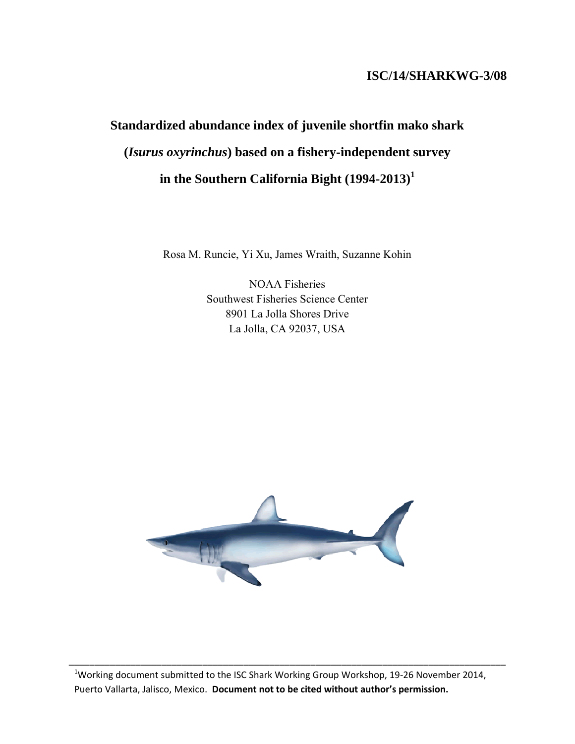# **ISC/14/SHARKWG-3/08**

# **Standardized abundance index of juvenile shortfin mako shark (***Isurus oxyrinchus***) based on a fishery-independent survey in the Southern California Bight (1994-2013)<sup>1</sup>**

Rosa M. Runcie, Yi Xu, James Wraith, Suzanne Kohin

NOAA Fisheries Southwest Fisheries Science Center 8901 La Jolla Shores Drive La Jolla, CA 92037, USA



 $^{1}$ Working document submitted to the ISC Shark Working Group Workshop, 19-26 November 2014, Puerto Vallarta, Jalisco, Mexico. **Document not to be cited without author's permission.**

\_\_\_\_\_\_\_\_\_\_\_\_\_\_\_\_\_\_\_\_\_\_\_\_\_\_\_\_\_\_\_\_\_\_\_\_\_\_\_\_\_\_\_\_\_\_\_\_\_\_\_\_\_\_\_\_\_\_\_\_\_\_\_\_\_\_\_\_\_\_\_\_\_\_\_\_\_\_\_\_\_\_\_\_\_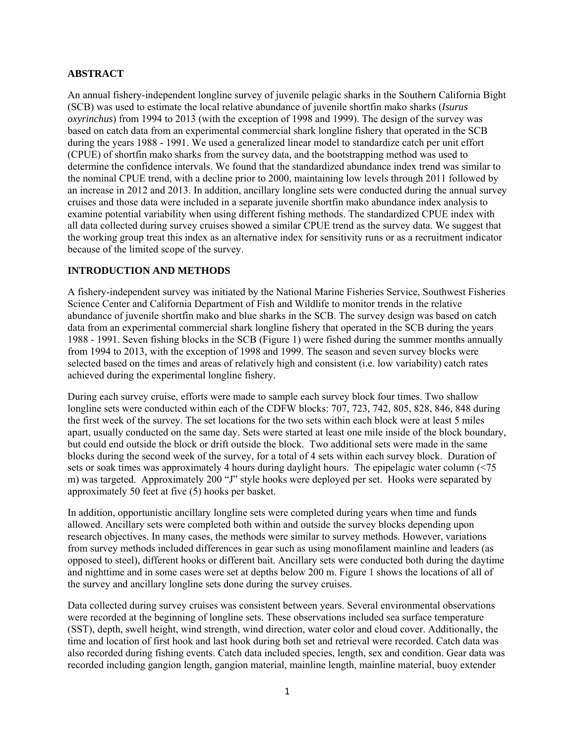#### **ABSTRACT**

An annual fishery-independent longline survey of juvenile pelagic sharks in the Southern California Bight (SCB) was used to estimate the local relative abundance of juvenile shortfin mako sharks (*Isurus oxyrinchus*) from 1994 to 2013 (with the exception of 1998 and 1999). The design of the survey was based on catch data from an experimental commercial shark longline fishery that operated in the SCB during the years 1988 - 1991. We used a generalized linear model to standardize catch per unit effort (CPUE) of shortfin mako sharks from the survey data, and the bootstrapping method was used to determine the confidence intervals. We found that the standardized abundance index trend was similar to the nominal CPUE trend, with a decline prior to 2000, maintaining low levels through 2011 followed by an increase in 2012 and 2013. In addition, ancillary longline sets were conducted during the annual survey cruises and those data were included in a separate juvenile shortfin mako abundance index analysis to examine potential variability when using different fishing methods. The standardized CPUE index with all data collected during survey cruises showed a similar CPUE trend as the survey data. We suggest that the working group treat this index as an alternative index for sensitivity runs or as a recruitment indicator because of the limited scope of the survey.

### **INTRODUCTION AND METHODS**

A fishery-independent survey was initiated by the National Marine Fisheries Service, Southwest Fisheries Science Center and California Department of Fish and Wildlife to monitor trends in the relative abundance of juvenile shortfin mako and blue sharks in the SCB. The survey design was based on catch data from an experimental commercial shark longline fishery that operated in the SCB during the years 1988 - 1991. Seven fishing blocks in the SCB (Figure 1) were fished during the summer months annually from 1994 to 2013, with the exception of 1998 and 1999. The season and seven survey blocks were selected based on the times and areas of relatively high and consistent (i.e. low variability) catch rates achieved during the experimental longline fishery.

During each survey cruise, efforts were made to sample each survey block four times. Two shallow longline sets were conducted within each of the CDFW blocks: 707, 723, 742, 805, 828, 846, 848 during the first week of the survey. The set locations for the two sets within each block were at least 5 miles apart, usually conducted on the same day. Sets were started at least one mile inside of the block boundary, but could end outside the block or drift outside the block. Two additional sets were made in the same blocks during the second week of the survey, for a total of 4 sets within each survey block. Duration of sets or soak times was approximately 4 hours during daylight hours. The epipelagic water column (<75 m) was targeted. Approximately 200 "J" style hooks were deployed per set. Hooks were separated by approximately 50 feet at five (5) hooks per basket.

In addition, opportunistic ancillary longline sets were completed during years when time and funds allowed. Ancillary sets were completed both within and outside the survey blocks depending upon research objectives. In many cases, the methods were similar to survey methods. However, variations from survey methods included differences in gear such as using monofilament mainline and leaders (as opposed to steel), different hooks or different bait. Ancillary sets were conducted both during the daytime and nighttime and in some cases were set at depths below 200 m. Figure 1 shows the locations of all of the survey and ancillary longline sets done during the survey cruises.

Data collected during survey cruises was consistent between years. Several environmental observations were recorded at the beginning of longline sets. These observations included sea surface temperature (SST), depth, swell height, wind strength, wind direction, water color and cloud cover. Additionally, the time and location of first hook and last hook during both set and retrieval were recorded. Catch data was also recorded during fishing events. Catch data included species, length, sex and condition. Gear data was recorded including gangion length, gangion material, mainline length, mainline material, buoy extender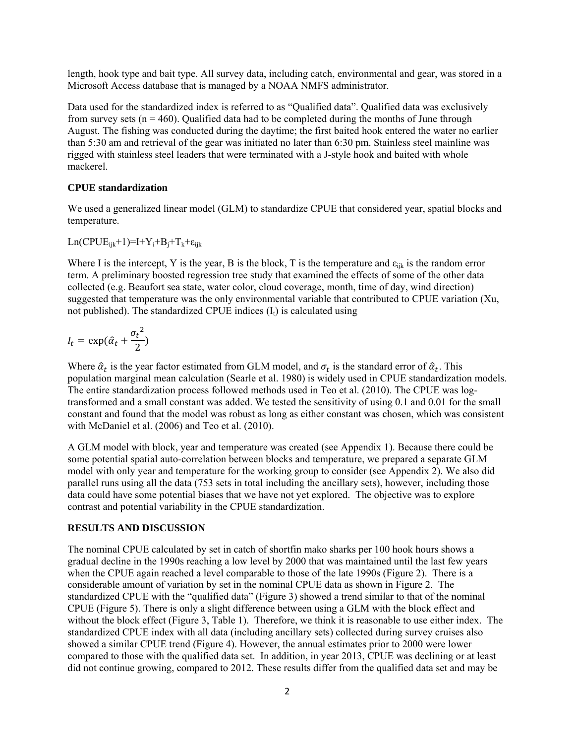length, hook type and bait type. All survey data, including catch, environmental and gear, was stored in a Microsoft Access database that is managed by a NOAA NMFS administrator.

Data used for the standardized index is referred to as "Qualified data". Qualified data was exclusively from survey sets ( $n = 460$ ). Qualified data had to be completed during the months of June through August. The fishing was conducted during the daytime; the first baited hook entered the water no earlier than 5:30 am and retrieval of the gear was initiated no later than 6:30 pm. Stainless steel mainline was rigged with stainless steel leaders that were terminated with a J-style hook and baited with whole mackerel.

#### **CPUE standardization**

We used a generalized linear model (GLM) to standardize CPUE that considered year, spatial blocks and temperature.

 $Ln(CPUE_{ijk}+1)=I+Y_i+B_i+T_k+\varepsilon_{ijk}$ 

Where I is the intercept, Y is the year, B is the block, T is the temperature and  $\varepsilon_{ijk}$  is the random error term. A preliminary boosted regression tree study that examined the effects of some of the other data collected (e.g. Beaufort sea state, water color, cloud coverage, month, time of day, wind direction) suggested that temperature was the only environmental variable that contributed to CPUE variation (Xu, not published). The standardized CPUE indices  $(I_t)$  is calculated using

$$
I_t = \exp(\hat{\alpha}_t + \frac{{\sigma_t}^2}{2})
$$

Where  $\hat{\alpha}_t$  is the year factor estimated from GLM model, and  $\sigma_t$  is the standard error of  $\hat{\alpha}_t$ . This population marginal mean calculation (Searle et al. 1980) is widely used in CPUE standardization models. The entire standardization process followed methods used in Teo et al. (2010). The CPUE was logtransformed and a small constant was added. We tested the sensitivity of using 0.1 and 0.01 for the small constant and found that the model was robust as long as either constant was chosen, which was consistent with McDaniel et al. (2006) and Teo et al. (2010).

A GLM model with block, year and temperature was created (see Appendix 1). Because there could be some potential spatial auto-correlation between blocks and temperature, we prepared a separate GLM model with only year and temperature for the working group to consider (see Appendix 2). We also did parallel runs using all the data (753 sets in total including the ancillary sets), however, including those data could have some potential biases that we have not yet explored. The objective was to explore contrast and potential variability in the CPUE standardization.

### **RESULTS AND DISCUSSION**

The nominal CPUE calculated by set in catch of shortfin mako sharks per 100 hook hours shows a gradual decline in the 1990s reaching a low level by 2000 that was maintained until the last few years when the CPUE again reached a level comparable to those of the late 1990s (Figure 2). There is a considerable amount of variation by set in the nominal CPUE data as shown in Figure 2. The standardized CPUE with the "qualified data" (Figure 3) showed a trend similar to that of the nominal CPUE (Figure 5). There is only a slight difference between using a GLM with the block effect and without the block effect (Figure 3, Table 1). Therefore, we think it is reasonable to use either index. The standardized CPUE index with all data (including ancillary sets) collected during survey cruises also showed a similar CPUE trend (Figure 4). However, the annual estimates prior to 2000 were lower compared to those with the qualified data set. In addition, in year 2013, CPUE was declining or at least did not continue growing, compared to 2012. These results differ from the qualified data set and may be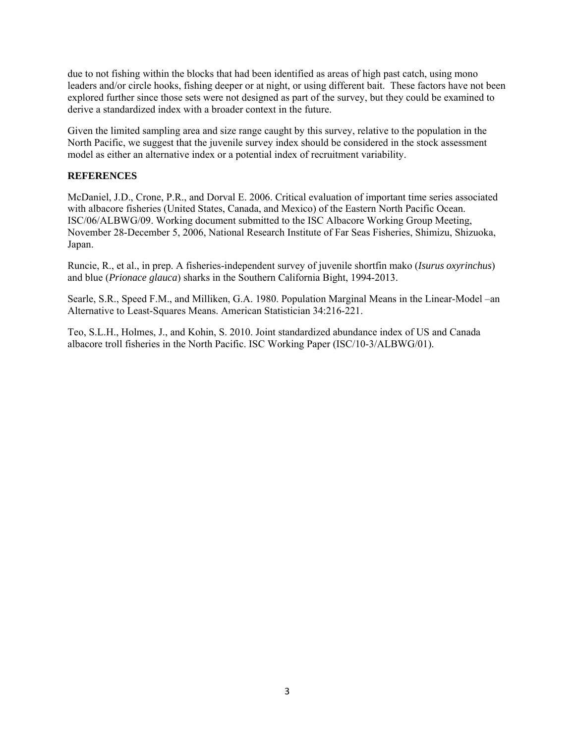due to not fishing within the blocks that had been identified as areas of high past catch, using mono leaders and/or circle hooks, fishing deeper or at night, or using different bait. These factors have not been explored further since those sets were not designed as part of the survey, but they could be examined to derive a standardized index with a broader context in the future.

Given the limited sampling area and size range caught by this survey, relative to the population in the North Pacific, we suggest that the juvenile survey index should be considered in the stock assessment model as either an alternative index or a potential index of recruitment variability.

## **REFERENCES**

McDaniel, J.D., Crone, P.R., and Dorval E. 2006. Critical evaluation of important time series associated with albacore fisheries (United States, Canada, and Mexico) of the Eastern North Pacific Ocean. ISC/06/ALBWG/09. Working document submitted to the ISC Albacore Working Group Meeting, November 28-December 5, 2006, National Research Institute of Far Seas Fisheries, Shimizu, Shizuoka, Japan.

Runcie, R., et al., in prep. A fisheries-independent survey of juvenile shortfin mako (*Isurus oxyrinchus*) and blue (*Prionace glauca*) sharks in the Southern California Bight, 1994-2013.

Searle, S.R., Speed F.M., and Milliken, G.A. 1980. Population Marginal Means in the Linear-Model –an Alternative to Least-Squares Means. American Statistician 34:216-221.

Teo, S.L.H., Holmes, J., and Kohin, S. 2010. Joint standardized abundance index of US and Canada albacore troll fisheries in the North Pacific. ISC Working Paper (ISC/10-3/ALBWG/01).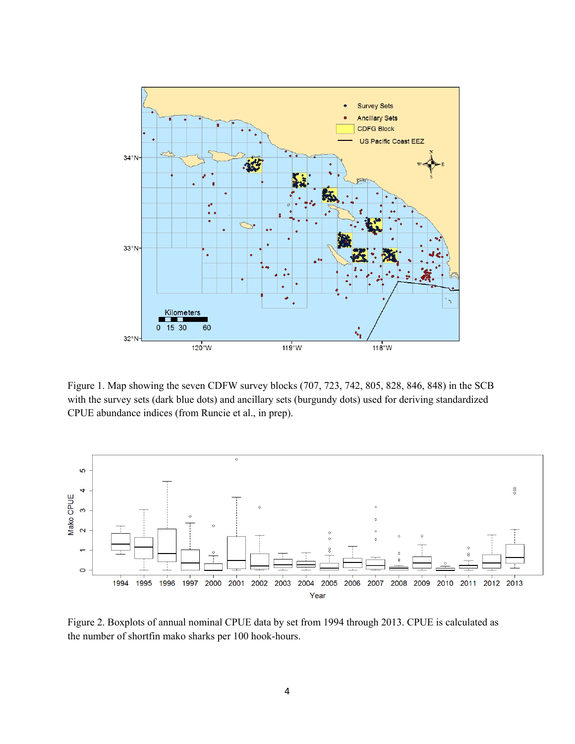

Figure 1. Map showing the seven CDFW survey blocks (707, 723, 742, 805, 828, 846, 848) in the SCB with the survey sets (dark blue dots) and ancillary sets (burgundy dots) used for deriving standardized CPUE abundance indices (from Runcie et al., in prep).



Figure 2. Boxplots of annual nominal CPUE data by set from 1994 through 2013. CPUE is calculated as the number of shortfin mako sharks per 100 hook-hours.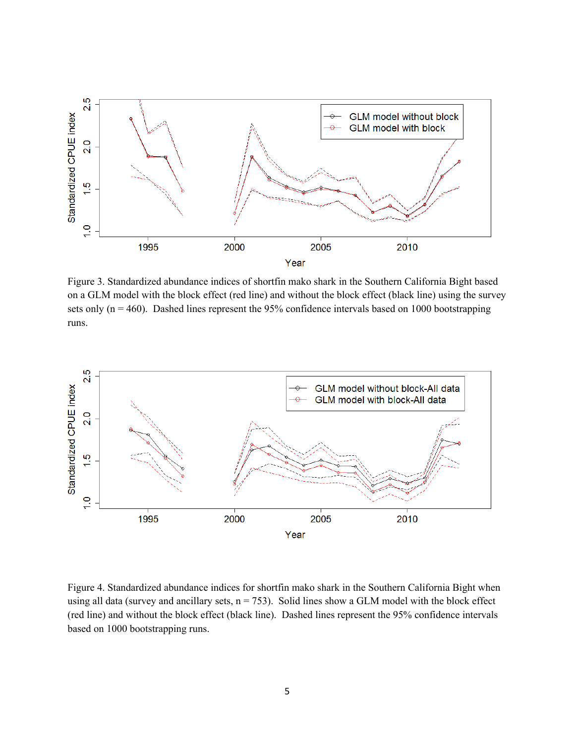

Figure 3. Standardized abundance indices of shortfin mako shark in the Southern California Bight based on a GLM model with the block effect (red line) and without the block effect (black line) using the survey sets only  $(n = 460)$ . Dashed lines represent the 95% confidence intervals based on 1000 bootstrapping runs.



Figure 4. Standardized abundance indices for shortfin mako shark in the Southern California Bight when using all data (survey and ancillary sets,  $n = 753$ ). Solid lines show a GLM model with the block effect (red line) and without the block effect (black line). Dashed lines represent the 95% confidence intervals based on 1000 bootstrapping runs.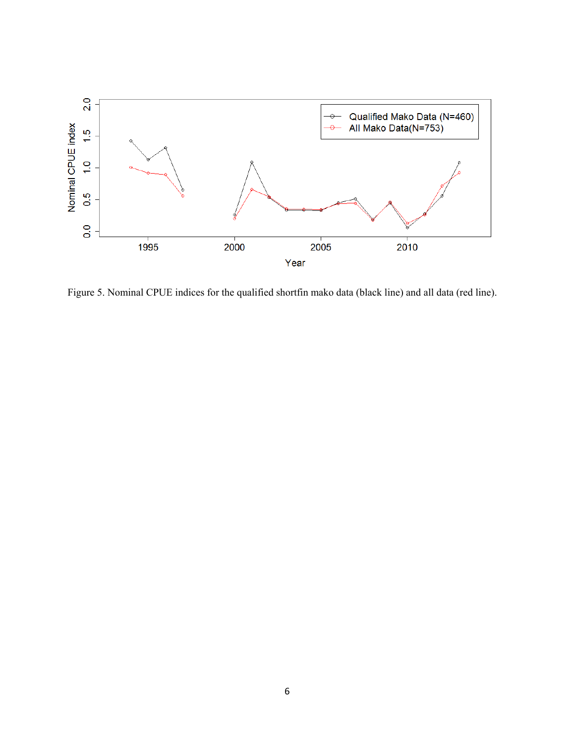

Figure 5. Nominal CPUE indices for the qualified shortfin mako data (black line) and all data (red line).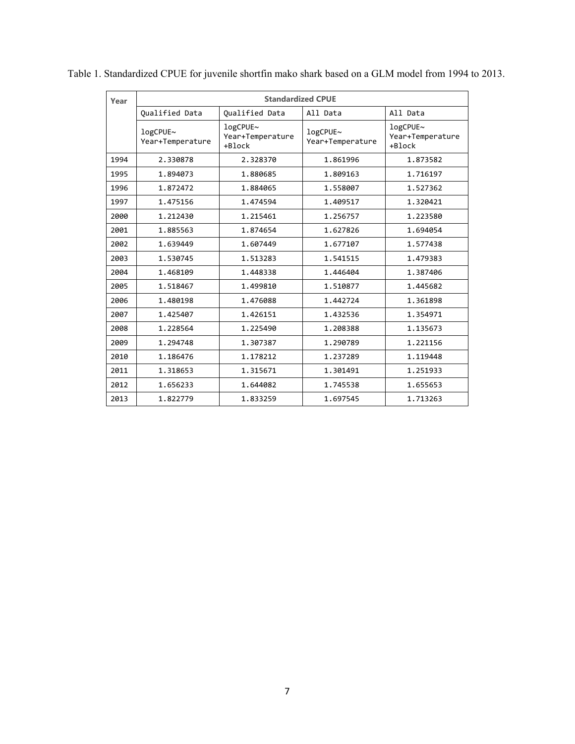| Year | <b>Standardized CPUE</b>     |                                        |                              |                                        |
|------|------------------------------|----------------------------------------|------------------------------|----------------------------------------|
|      | <b>Oualified Data</b>        | <b>Oualified Data</b>                  | All Data                     | All Data                               |
|      | logCPUE~<br>Year+Temperature | logCPUE~<br>Year+Temperature<br>+Block | logCPUE~<br>Year+Temperature | logCPUE~<br>Year+Temperature<br>+Block |
| 1994 | 2.330878                     | 2.328370                               | 1.861996                     | 1.873582                               |
| 1995 | 1.894073                     | 1.880685                               | 1.809163                     | 1.716197                               |
| 1996 | 1.872472                     | 1.884065                               | 1.558007                     | 1.527362                               |
| 1997 | 1.475156                     | 1.474594                               | 1.409517                     | 1.320421                               |
| 2000 | 1.212430                     | 1.215461                               | 1.256757                     | 1.223580                               |
| 2001 | 1.885563                     | 1.874654                               | 1.627826                     | 1.694054                               |
| 2002 | 1.639449                     | 1.607449                               | 1.677107                     | 1.577438                               |
| 2003 | 1.530745                     | 1.513283                               | 1.541515                     | 1.479383                               |
| 2004 | 1.468109                     | 1.448338                               | 1.446404                     | 1.387406                               |
| 2005 | 1.518467                     | 1.499810                               | 1.510877                     | 1.445682                               |
| 2006 | 1.480198                     | 1.476088                               | 1.442724                     | 1.361898                               |
| 2007 | 1.425407                     | 1.426151                               | 1.432536                     | 1.354971                               |
| 2008 | 1.228564                     | 1.225490                               | 1.208388                     | 1.135673                               |
| 2009 | 1.294748                     | 1.307387                               | 1.290789                     | 1.221156                               |
| 2010 | 1.186476                     | 1.178212                               | 1.237289                     | 1.119448                               |
| 2011 | 1.318653                     | 1.315671                               | 1.301491                     | 1.251933                               |
| 2012 | 1.656233                     | 1.644082                               | 1.745538                     | 1.655653                               |
| 2013 | 1.822779                     | 1.833259                               | 1.697545                     | 1.713263                               |

Table 1. Standardized CPUE for juvenile shortfin mako shark based on a GLM model from 1994 to 2013.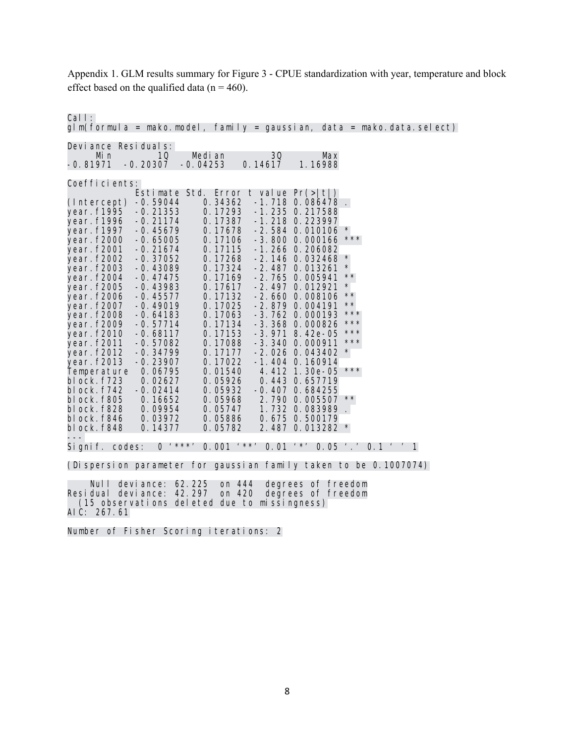Appendix 1. GLM results summary for Figure 3 - CPUE standardization with year, temperature and block effect based on the qualified data ( $n = 460$ ).

Call:  $glm($  formula = mako.model, family = gaussian, data = mako.data.select) Deviance Residuals: Min 10 Median 30 Max<br>1.16988 1971 -0.20307 -0.04253 0.14617 1.16988  $-0.20307$ Coefficients: Estimate Std. Error t value Pr(>|t|) (Intercept) -0.59044 0.34362 -1.718 0.086478 . year.f1995 -0.21353 0.17293 -1.235 0.217588 ỹear. f1996 -0. 21174 0. 17387 -1. 218 0. 223997<br>vear. f1997 -0. 45679 0. 17678 -2. 584 0. 010106 year.f1997 -0.45679 0.17678 -2.584 0.010106 \*<br>year.f2000 -0.65005 0.17106 -3.800 0.000166 \*\*\* year.f2000 -0.65005 0.17106 -3.800 0.000166<br>year.f2001 -0.21674 0.17115 -1.266 0.206082 year.f2001 -0.21674 0.17115 -1.266 0.206082<br>year.f2002 -0.37052 0.17268 -2.146 0.032468<br>year.f2003 -0.43089 0.17324 -2.487 0.013261 -0.37052 0.17268 -2.146 0.032468<br>-0.43089 0.17324 -2.487 0.013261 year.f2003 -0.43089 0.17324 -2.487 0.013261 \* year. f2004 -0. 47475 - 0. 17169 -2. 765 0. 005941<br>year. f2005 -0. 43983 - 0. 17617 -2. 497 0. 012921 year.f2005 -0.43983 0.17617 -2.497 0.012921 \*<br>year.f2006 -0.45577 0.17132 -2.660 0.008106 \*\* year.f2006 -0.45577 0.17132 -2.660 0.008106 \*\* year.f2007 -0.49019 0.17025 -2.879 0.004191 \*\*<br>year.f2008 -0.64183 0.17063 -3.762 0.000193 \*\*\* year.f2008 -0.64183 0.17063 -3.762 0.000193 \*\*\*<br>year.f2009 -0.57714 0.17134 -3.368 0.000826 \*\*\* year.f2009 -0.57714 0.17134 -3.368 0.000826<br>year.f2010 -0.68117 0.17153 -3.971 8.42e-05 0.17153 -3.971 8.42e-05 \*\*\*<br>0.17088 -3.340 0.000911 \*\*\* year.f2011 -0.57082 0.17088 -3.340 0.000911<br>year.f2012 -0.34799 0.17177 -2.026 0.043402 year.f2012 -0.34799 0.17177 -2.026 0.043402 \* year.f2013 -0.23907 0.17022 -1.404 0.160914 Temperature 0.06795 0.01540 4.412 1.30e-05<br>block.f723 0.02627 0.05926 0.443 0.657719 block.f723 0.02627 0.05926 0.443 0.657719 block.f742 -0.02414 0.05932 -0.407 0.684255<br>block.f805 0.16652 0.05968 2.790 0.005507 \*\* block.f805 0.16652 0.05968 2.790 0.005507<br>block.f828 0.09954 0.05747 1.732 0.083989 block.f828 0.09954 0.05747 1.732 0.083989 . block.f846 0.03972 0.05886 0.675 0.500179 2.487 0.013282 \* --- Signif. codes: 0 '\*\*\*' 0.001 '\*\*' 0.01 '\*' 0.05 '.' 0.1 ' ' 1

(Dispersion parameter for gaussian family taken to be 0.1007074)

 Null deviance: 62.225 on 444 degrees of freedom Residual deviance: 42.297 (15 observations deleted due to missingness) AIC: 267.61

Number of Fisher Scoring iterations: 2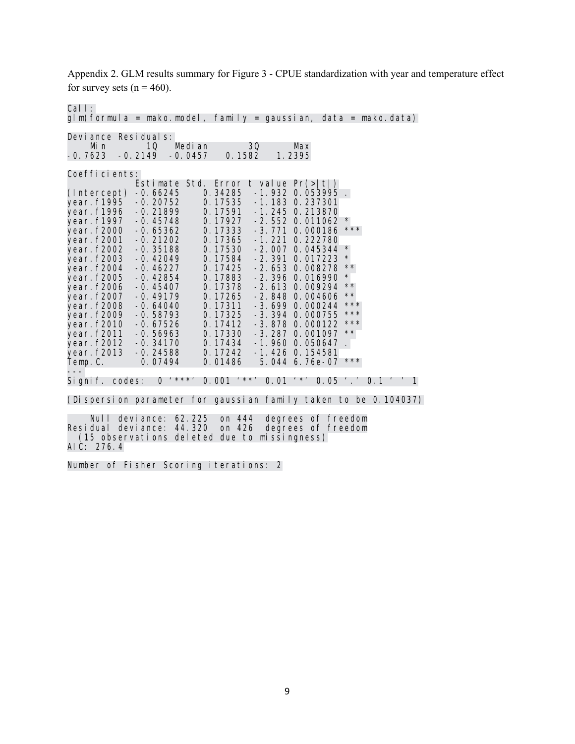Appendix 2. GLM results summary for Figure 3 - CPUE standardization with year and temperature effect for survey sets  $(n = 460)$ .

Call:

glm(formula = mako.model, family = gaussian, data = mako.data) Deviance Residuals: Min 10 Median 30 Max<br>1.2395 -0.2149 -0.0457 0.1582 1.2395  $-0.2149$ Coefficients: Estimate Std. Error t value Pr(>|t|) (Intercept) -0.66245 0.34285<br>year.f1995 -0.20752 0.17535 year.f1995 -0.20752 0.17535 -1.183 0.237301<br>year.f1996 -0.21899 0.17591 -1.245 0.213870 .<br>year. f1996 -0. 21899 0. 17591 -1. 245 0. 213870<br>year. f1997 -0. 45748 0. 17927 -2. 552 0. 011062 year.f1997 -0.45748 0.17927 -2.552 0.011062 \*<br>year.f2000 -0.65362 0.17333 -3.771 0.000186 \*\*\* year.f2000 -0.65362 0.17333 -3.771 0.000186<br>year.f2001 -0.21202 0.17365 -1.221 0.222780 year.f2001 -0.21202 0.17365 -1.221 0.222780 year.f2002 -0.35188 0.17530 -2.007 0.045344<br>year.f2003 -0.42049 0.17584 -2.391 0.017223<br>year.f2004 -0.46227 0.17425 -2.653 0.008278 -0.42049 0.17584 -2.391 0.017223 \*<br>-0.46227 0.17425 -2.653 0.008278 \*\* year.f2004 -0.46227 0.17425 -2.653 0.008278<br>year.f2005 -0.42854 0.17883 -2.396 0.016990<br>year.f2006 -0.45407 0.17378 -2.613 0.009294 -0.42854 0.17883 -2.396 0.016990<br>-0.45407 0.17378 -2.613 0.009294 year.f2006 -0.45407 0.17378 -2.613 0.009294 \*\*<br>year.f2007 -0.49179 0.17265 -2.848 0.004606 \*\* year.f2007 -0.49179 0.17265 -2.848 0.004606<br>year.f2008 -0.64040 0.17311 -3.699 0.000244 year.f2008 -0.64040 0.17311 -3.699 0.000244 \*\*\*<br>year.f2009 -0.58793 0.17325 -3.394 0.000755 \*\*\* year.f2009 -0.58793 0.17325 -3.394 0.000755 \*\*\*<br>year.f2010 -0.67526 0.17412 -3.878 0.000122 \*\*\* year.f2010 -0.67526 0.17412 -3.878 0.000122 \*\*\*<br>year.f2011 -0.56963 0.17330 -3.287 0.001097 \*\* vear.f2010 -0.56963 0.17330 -3.287 0.001097 \*\*<br>-0.34170 0.17434 -1.960 0.050647 year.f2012 -0.34170 0.17434 -1.960 0.050647<br>year.f2013 -0.24588 0.17242 -1.426 0.154581 year.f2013 -0.24588 0.17242 -1.426 0.154581 5.044 6.76e-07  $***$ Signif. codes: Signif. codes: 0 '\*\*\*' 0.001 '\*\*' 0.01 '\*' 0.05 '.' 0.1 ' ' 1 (Dispersion parameter for gaussian family taken to be 0.104037) Null deviance: 62.225 on 444 degrees of freedom Residual deviance: 44.320

Number of Fisher Scoring iterations: 2

AIC: 276.4

(15 observations deleted due to missingness)